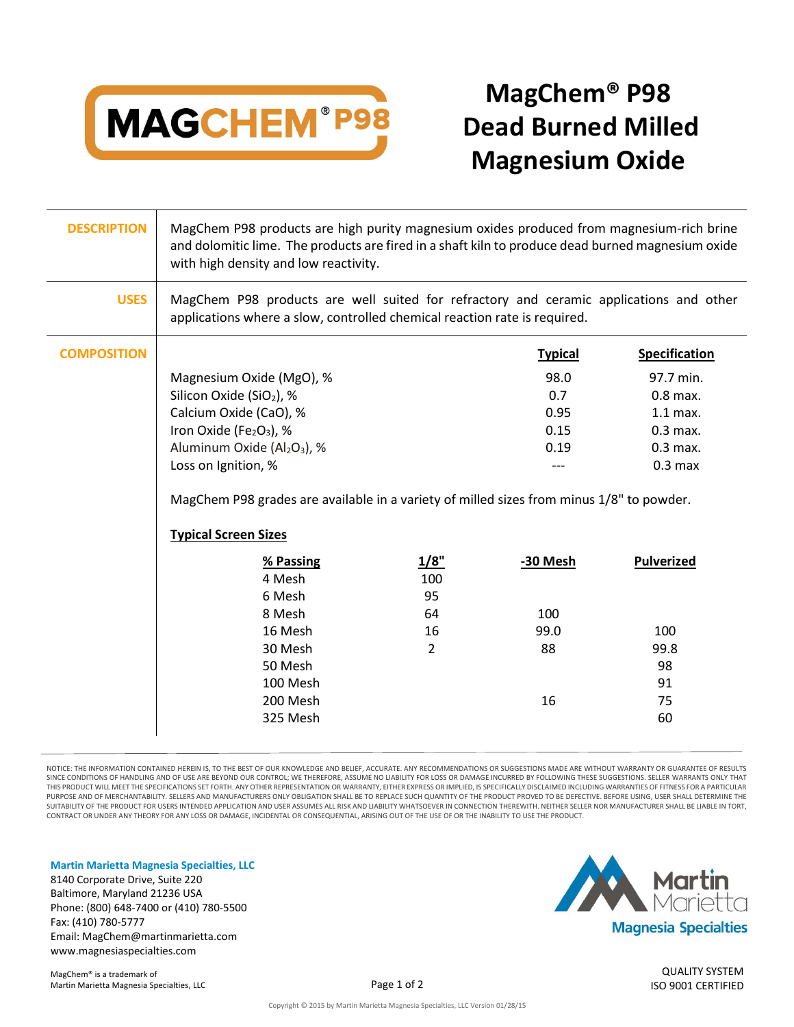

## **MagChem® P98 Dead Burned Milled Magnesium Oxide**

| <b>USES</b><br>MagChem P98 products are well suited for refractory and ceramic applications and other                   |  |
|-------------------------------------------------------------------------------------------------------------------------|--|
| applications where a slow, controlled chemical reaction rate is required.                                               |  |
| <b>COMPOSITION</b><br><b>Specification</b><br><b>Typical</b>                                                            |  |
| Magnesium Oxide (MgO), %<br>98.0<br>97.7 min.                                                                           |  |
| Silicon Oxide (SiO <sub>2</sub> ), %<br>0.7<br>$0.8$ max.                                                               |  |
| Calcium Oxide (CaO), %<br>0.95<br>$1.1$ max.                                                                            |  |
| Iron Oxide (Fe <sub>2</sub> O <sub>3</sub> ), %<br>0.15<br>$0.3$ max.                                                   |  |
| Aluminum Oxide (Al <sub>2</sub> O <sub>3</sub> ), %<br>0.19<br>$0.3$ max.                                               |  |
| Loss on Ignition, %<br>0.3 <sub>max</sub><br>---                                                                        |  |
| MagChem P98 grades are available in a variety of milled sizes from minus 1/8" to powder.<br><b>Typical Screen Sizes</b> |  |
| 1/8"<br>-30 Mesh<br><b>Pulverized</b><br>% Passing                                                                      |  |
| 4 Mesh<br>100                                                                                                           |  |
| 95<br>6 Mesh                                                                                                            |  |
| 100<br>8 Mesh<br>64                                                                                                     |  |
| 16 Mesh<br>16<br>99.0<br>100                                                                                            |  |
| 30 Mesh<br>$\overline{2}$<br>88<br>99.8                                                                                 |  |
| 98<br>50 Mesh                                                                                                           |  |
| 100 Mesh<br>91                                                                                                          |  |
| 200 Mesh<br>16<br>75                                                                                                    |  |
| 325 Mesh<br>60                                                                                                          |  |

NOTICE: THE INFORMATION CONTAINED HEREIN IS, TO THE BEST OF OUR KNOWLEDGE AND BELIEF, ACCURATE. ANY RECOMMENDATIONS OR SUGGESTIONS MADE ARE WITHOUT WARRANTY OR GUARANTEE OF RESULTS SINCE CONDITIONS OF HANDLING AND OF USE ARE BEYOND OUR CONTROL; WE THEREFORE, ASSUME NO LIABILITY FOR LOSS OR DAMAGE INCURRED BY FOLLOWING THESE SUGGESTIONS. SELLER WARRANTS ONLY THAT THIS PRODUCT WILL MEET THE SPECIFICATIONS SET FORTH. ANY OTHER REPRESENTATION OR WARRANTY, EITHER EXPRESS OR IMPLIED, IS SPECIFICALLY DISCLAIMED INCLUDING WARRANTIES OF FITNESS FOR A PARTICULAR PURPOSE AND OF MERCHANTABILITY. SELLERS AND MANUFACTURERS ONLY OBLIGATION SHALL BE TO REPLACE SUCH QUANTITY OF THE PRODUCT PROVED TO BE DEFECTIVE. BEFORE USING, USER SHALL DETERMINE THE SUITABILITY OF THE PRODUCT FOR USERS INTENDED APPLICATION AND USER ASSUMES ALL RISK AND LIABILITY WHATSOEVER IN CONNECTION THEREWITH. NEITHER SELLER NOR MANUFACTURER SHALL BE LIABLE IN TORT, CONTRACT OR UNDER ANY THEORY FOR ANY LOSS OR DAMAGE, INCIDENTAL OR CONSEQUENTIAL, ARISING OUT OF THE USE OF OR THE INABILITY TO USE THE PRODUCT.

**Martin Marietta Magnesia Specialties, LLC**

8140 Corporate Drive, Suite 220 Baltimore, Maryland 21236 USA Phone: (800) 648-7400 or (410) 780-5500 Fax: (410) 780-5777 Email: MagChem@martinmarietta.com www.magnesiaspecialties.com



QUALITY SYSTEM ISO 9001 CERTIFIED

Copyright © 2015 by Martin Marietta Magnesia Specialties, LLC Version 01/28/15